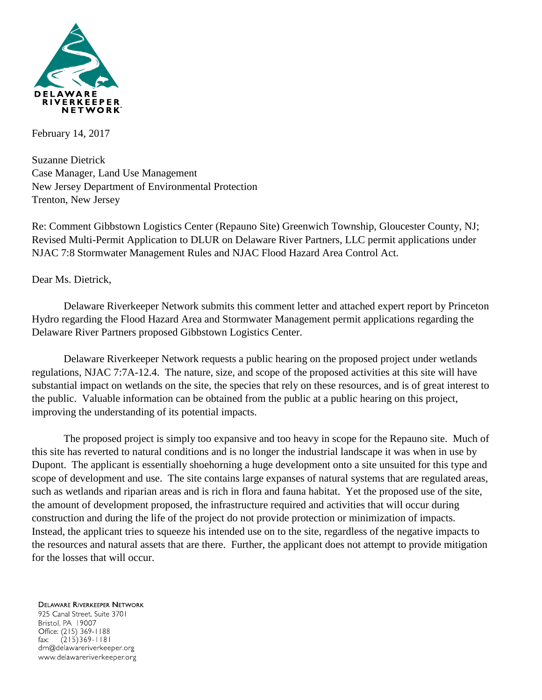

February 14, 2017

Suzanne Dietrick Case Manager, Land Use Management New Jersey Department of Environmental Protection Trenton, New Jersey

Re: Comment Gibbstown Logistics Center (Repauno Site) Greenwich Township, Gloucester County, NJ; Revised Multi-Permit Application to DLUR on Delaware River Partners, LLC permit applications under NJAC 7:8 Stormwater Management Rules and NJAC Flood Hazard Area Control Act.

Dear Ms. Dietrick,

Delaware Riverkeeper Network submits this comment letter and attached expert report by Princeton Hydro regarding the Flood Hazard Area and Stormwater Management permit applications regarding the Delaware River Partners proposed Gibbstown Logistics Center.

Delaware Riverkeeper Network requests a public hearing on the proposed project under wetlands regulations, NJAC 7:7A-12.4. The nature, size, and scope of the proposed activities at this site will have substantial impact on wetlands on the site, the species that rely on these resources, and is of great interest to the public. Valuable information can be obtained from the public at a public hearing on this project, improving the understanding of its potential impacts.

The proposed project is simply too expansive and too heavy in scope for the Repauno site. Much of this site has reverted to natural conditions and is no longer the industrial landscape it was when in use by Dupont. The applicant is essentially shoehorning a huge development onto a site unsuited for this type and scope of development and use. The site contains large expanses of natural systems that are regulated areas, such as wetlands and riparian areas and is rich in flora and fauna habitat. Yet the proposed use of the site, the amount of development proposed, the infrastructure required and activities that will occur during construction and during the life of the project do not provide protection or minimization of impacts. Instead, the applicant tries to squeeze his intended use on to the site, regardless of the negative impacts to the resources and natural assets that are there. Further, the applicant does not attempt to provide mitigation for the losses that will occur.

**DELAWARE RIVERKEEPER NETWORK** 925 Canal Street, Suite 3701 Bristol, PA 19007 Office: (215) 369-1188  $(215)369 - 1181$ fax: drn@delawareriverkeeper.org www.delawareriverkeeper.org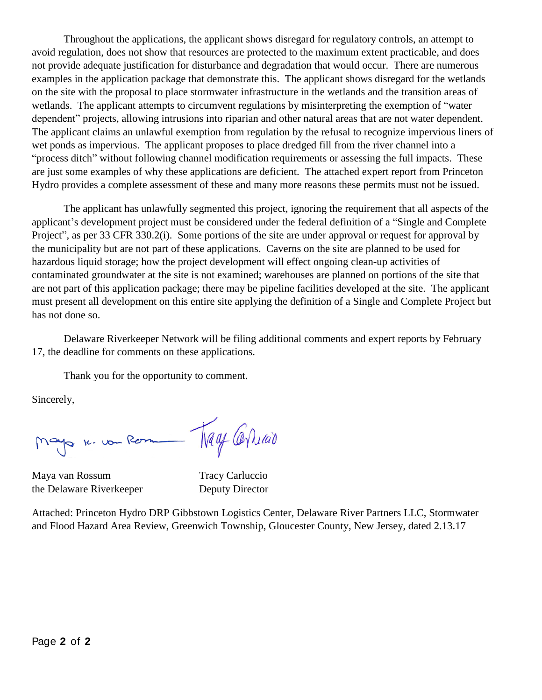Throughout the applications, the applicant shows disregard for regulatory controls, an attempt to avoid regulation, does not show that resources are protected to the maximum extent practicable, and does not provide adequate justification for disturbance and degradation that would occur. There are numerous examples in the application package that demonstrate this. The applicant shows disregard for the wetlands on the site with the proposal to place stormwater infrastructure in the wetlands and the transition areas of wetlands. The applicant attempts to circumvent regulations by misinterpreting the exemption of "water dependent" projects, allowing intrusions into riparian and other natural areas that are not water dependent. The applicant claims an unlawful exemption from regulation by the refusal to recognize impervious liners of wet ponds as impervious. The applicant proposes to place dredged fill from the river channel into a "process ditch" without following channel modification requirements or assessing the full impacts. These are just some examples of why these applications are deficient. The attached expert report from Princeton Hydro provides a complete assessment of these and many more reasons these permits must not be issued.

The applicant has unlawfully segmented this project, ignoring the requirement that all aspects of the applicant's development project must be considered under the federal definition of a "Single and Complete Project", as per 33 CFR 330.2(i). Some portions of the site are under approval or request for approval by the municipality but are not part of these applications. Caverns on the site are planned to be used for hazardous liquid storage; how the project development will effect ongoing clean-up activities of contaminated groundwater at the site is not examined; warehouses are planned on portions of the site that are not part of this application package; there may be pipeline facilities developed at the site. The applicant must present all development on this entire site applying the definition of a Single and Complete Project but has not done so.

Delaware Riverkeeper Network will be filing additional comments and expert reports by February 17, the deadline for comments on these applications.

Thank you for the opportunity to comment.

Sincerely,

Mayo 16. vou Romment Magy Carlund

Maya van Rossum Tracy Carluccio the Delaware Riverkeeper Deputy Director

Attached: Princeton Hydro DRP Gibbstown Logistics Center, Delaware River Partners LLC, Stormwater and Flood Hazard Area Review, Greenwich Township, Gloucester County, New Jersey, dated 2.13.17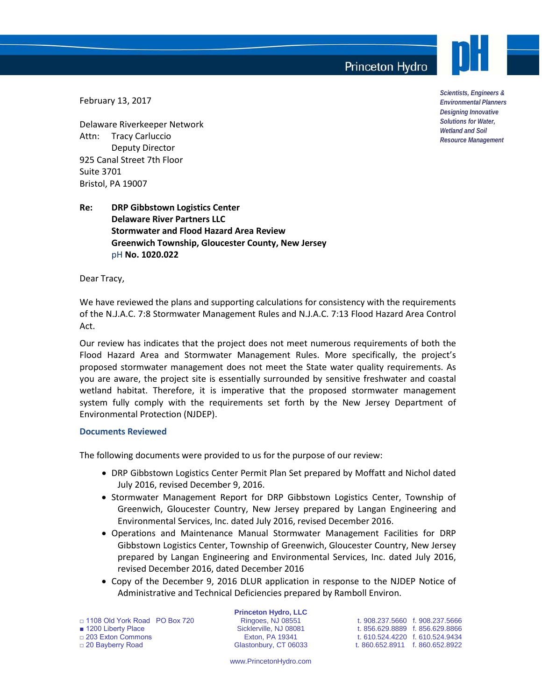**Princeton Hydro** 

*Scientists, Engineers & Environmental Planners Designing Innovative Solutions for Water, Wetland and Soil Resource Management*

February 13, 2017

Delaware Riverkeeper Network Attn: Tracy Carluccio Deputy Director 925 Canal Street 7th Floor Suite 3701 Bristol, PA 19007

# **Re: DRP Gibbstown Logistics Center Delaware River Partners LLC Stormwater and Flood Hazard Area Review Greenwich Township, Gloucester County, New Jersey** pH **No. 1020.022**

Dear Tracy,

We have reviewed the plans and supporting calculations for consistency with the requirements of the N.J.A.C. 7:8 Stormwater Management Rules and N.J.A.C. 7:13 Flood Hazard Area Control Act.

Our review has indicates that the project does not meet numerous requirements of both the Flood Hazard Area and Stormwater Management Rules. More specifically, the project's proposed stormwater management does not meet the State water quality requirements. As you are aware, the project site is essentially surrounded by sensitive freshwater and coastal wetland habitat. Therefore, it is imperative that the proposed stormwater management system fully comply with the requirements set forth by the New Jersey Department of Environmental Protection (NJDEP).

#### **Documents Reviewed**

The following documents were provided to us for the purpose of our review:

- DRP Gibbstown Logistics Center Permit Plan Set prepared by Moffatt and Nichol dated July 2016, revised December 9, 2016.
- Stormwater Management Report for DRP Gibbstown Logistics Center, Township of Greenwich, Gloucester Country, New Jersey prepared by Langan Engineering and Environmental Services, Inc. dated July 2016, revised December 2016.
- Operations and Maintenance Manual Stormwater Management Facilities for DRP Gibbstown Logistics Center, Township of Greenwich, Gloucester Country, New Jersey prepared by Langan Engineering and Environmental Services, Inc. dated July 2016, revised December 2016, dated December 2016
- Copy of the December 9, 2016 DLUR application in response to the NJDEP Notice of Administrative and Technical Deficiencies prepared by Ramboll Environ.

□ 1108 Old York Road PO Box 720 Ringoes, NJ 08551 t. 908.237.5660 f. 908.237.5666 ■ 1200 Liberty Place Sicklerville, NJ 08081 t. 856.629.8889 f. 856.629.8866<br>
□ 203 Exton Commons Exton, PA 19341 t. 610.524.4220 f. 610.524.9434

**Princeton Hydro, LLC**<br>Ringoes, NJ 08551

□ 203 Exton Commons Exton, PA 19341 t. 610.524.4220 f. 610.524.9434 t. 860.652.8911 f. 860.652.8922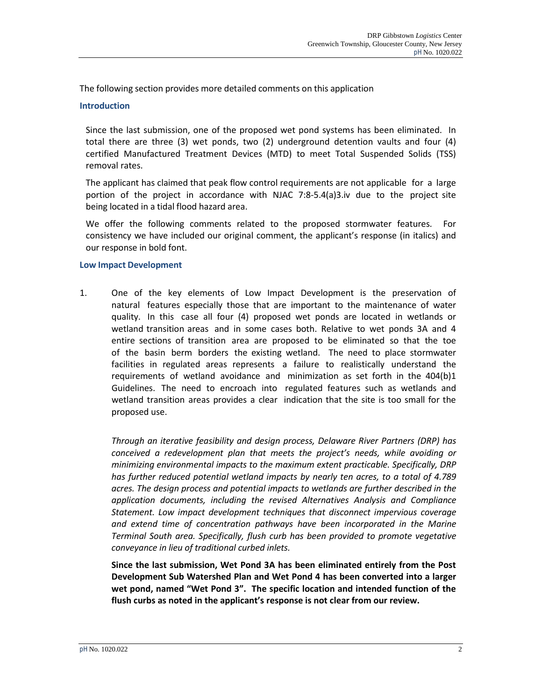The following section provides more detailed comments on this application

#### **Introduction**

Since the last submission, one of the proposed wet pond systems has been eliminated. In total there are three (3) wet ponds, two (2) underground detention vaults and four (4) certified Manufactured Treatment Devices (MTD) to meet Total Suspended Solids (TSS) removal rates.

The applicant has claimed that peak flow control requirements are not applicable for a large portion of the project in accordance with NJAC 7:8-5.4(a)3.iv due to the project site being located in a tidal flood hazard area.

We offer the following comments related to the proposed stormwater features. For consistency we have included our original comment, the applicant's response (in italics) and our response in bold font.

#### **Low Impact Development**

1. One of the key elements of Low Impact Development is the preservation of natural features especially those that are important to the maintenance of water quality. In this case all four (4) proposed wet ponds are located in wetlands or wetland transition areas and in some cases both. Relative to wet ponds 3A and 4 entire sections of transition area are proposed to be eliminated so that the toe of the basin berm borders the existing wetland. The need to place stormwater facilities in regulated areas represents a failure to realistically understand the requirements of wetland avoidance and minimization as set forth in the 404(b)1 Guidelines. The need to encroach into regulated features such as wetlands and wetland transition areas provides a clear indication that the site is too small for the proposed use.

*Through an iterative feasibility and design process, Delaware River Partners (DRP) has conceived a redevelopment plan that meets the project's needs, while avoiding or minimizing environmental impacts to the maximum extent practicable. Specifically, DRP has further reduced potential wetland impacts by nearly ten acres, to a total of 4.789 acres. The design process and potential impacts to wetlands are further described in the application documents, including the revised Alternatives Analysis and Compliance Statement. Low impact development techniques that disconnect impervious coverage and extend time of concentration pathways have been incorporated in the Marine Terminal South area. Specifically, flush curb has been provided to promote vegetative conveyance in lieu of traditional curbed inlets.* 

**Since the last submission, Wet Pond 3A has been eliminated entirely from the Post Development Sub Watershed Plan and Wet Pond 4 has been converted into a larger wet pond, named "Wet Pond 3". The specific location and intended function of the flush curbs as noted in the applicant's response is not clear from our review.**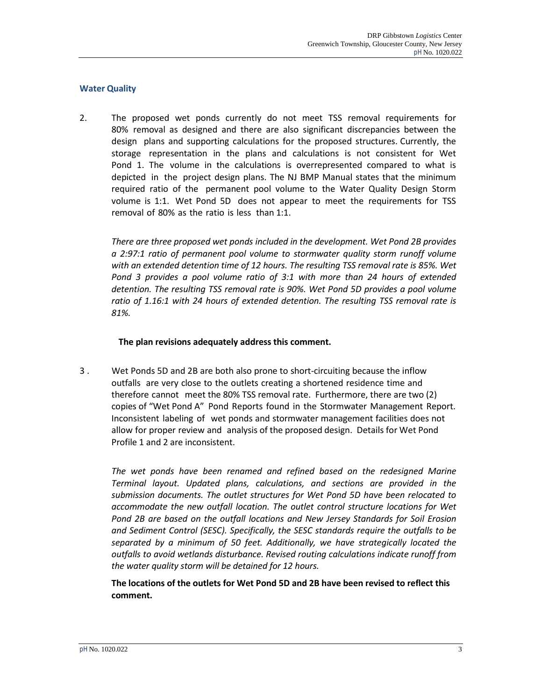## **Water Quality**

2. The proposed wet ponds currently do not meet TSS removal requirements for 80% removal as designed and there are also significant discrepancies between the design plans and supporting calculations for the proposed structures. Currently, the storage representation in the plans and calculations is not consistent for Wet Pond 1. The volume in the calculations is overrepresented compared to what is depicted in the project design plans. The NJ BMP Manual states that the minimum required ratio of the permanent pool volume to the Water Quality Design Storm volume is 1:1. Wet Pond 5D does not appear to meet the requirements for TSS removal of 80% as the ratio is less than 1:1.

*There are three proposed wet ponds included in the development. Wet Pond 2B provides a 2:97:1 ratio of permanent pool volume to stormwater quality storm runoff volume with an extended detention time of 12 hours. The resulting TSS removal rate is 85%. Wet Pond 3 provides a pool volume ratio of 3:1 with more than 24 hours of extended detention. The resulting TSS removal rate is 90%. Wet Pond 5D provides a pool volume ratio of 1.16:1 with 24 hours of extended detention. The resulting TSS removal rate is 81%.*

## **The plan revisions adequately address this comment.**

3 . Wet Ponds 5D and 2B are both also prone to short-circuiting because the inflow outfalls are very close to the outlets creating a shortened residence time and therefore cannot meet the 80% TSS removal rate. Furthermore, there are two (2) copies of "Wet Pond A" Pond Reports found in the Stormwater Management Report. Inconsistent labeling of wet ponds and stormwater management facilities does not allow for proper review and analysis of the proposed design. Details for Wet Pond Profile 1 and 2 are inconsistent.

*The wet ponds have been renamed and refined based on the redesigned Marine Terminal layout. Updated plans, calculations, and sections are provided in the submission documents. The outlet structures for Wet Pond 5D have been relocated to accommodate the new outfall location. The outlet control structure locations for Wet Pond 2B are based on the outfall locations and New Jersey Standards for Soil Erosion and Sediment Control (SESC). Specifically, the SESC standards require the outfalls to be separated by a minimum of 50 feet. Additionally, we have strategically located the outfalls to avoid wetlands disturbance. Revised routing calculations indicate runoff from the water quality storm will be detained for 12 hours.*

**The locations of the outlets for Wet Pond 5D and 2B have been revised to reflect this comment.**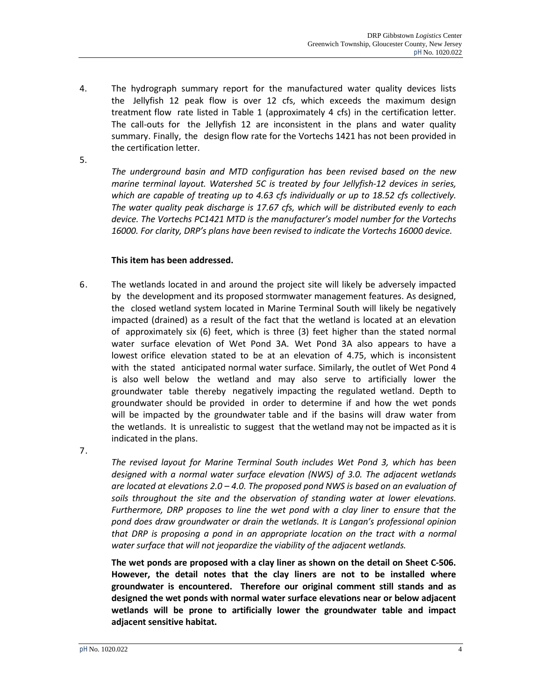4. The hydrograph summary report for the manufactured water quality devices lists the Jellyfish 12 peak flow is over 12 cfs, which exceeds the maximum design treatment flow rate listed in Table 1 (approximately 4 cfs) in the certification letter. The call-outs for the Jellyfish 12 are inconsistent in the plans and water quality summary. Finally, the design flow rate for the Vortechs 1421 has not been provided in the certification letter.

5.

*The underground basin and MTD configuration has been revised based on the new marine terminal layout. Watershed 5C is treated by four Jellyfish-12 devices in series, which are capable of treating up to 4.63 cfs individually or up to 18.52 cfs collectively. The water quality peak discharge is 17.67 cfs, which will be distributed evenly to each device. The Vortechs PC1421 MTD is the manufacturer's model number for the Vortechs 16000. For clarity, DRP's plans have been revised to indicate the Vortechs 16000 device.*

## **This item has been addressed.**

6. The wetlands located in and around the project site will likely be adversely impacted by the development and its proposed stormwater management features. As designed, the closed wetland system located in Marine Terminal South will likely be negatively impacted (drained) as a result of the fact that the wetland is located at an elevation of approximately six (6) feet, which is three (3) feet higher than the stated normal water surface elevation of Wet Pond 3A. Wet Pond 3A also appears to have a lowest orifice elevation stated to be at an elevation of 4.75, which is inconsistent with the stated anticipated normal water surface. Similarly, the outlet of Wet Pond 4 is also well below the wetland and may also serve to artificially lower the groundwater table thereby negatively impacting the regulated wetland. Depth to groundwater should be provided in order to determine if and how the wet ponds will be impacted by the groundwater table and if the basins will draw water from the wetlands. It is unrealistic to suggest that the wetland may not be impacted as it is indicated in the plans.

7.

*The revised layout for Marine Terminal South includes Wet Pond 3, which has been designed with a normal water surface elevation (NWS) of 3.0. The adjacent wetlands are located at elevations 2.0 – 4.0. The proposed pond NWS is based on an evaluation of soils throughout the site and the observation of standing water at lower elevations. Furthermore, DRP proposes to line the wet pond with a clay liner to ensure that the pond does draw groundwater or drain the wetlands. It is Langan's professional opinion that DRP is proposing a pond in an appropriate location on the tract with a normal water surface that will not jeopardize the viability of the adjacent wetlands.*

**The wet ponds are proposed with a clay liner as shown on the detail on Sheet C-506. However, the detail notes that the clay liners are not to be installed where groundwater is encountered. Therefore our original comment still stands and as designed the wet ponds with normal water surface elevations near or below adjacent wetlands will be prone to artificially lower the groundwater table and impact adjacent sensitive habitat.**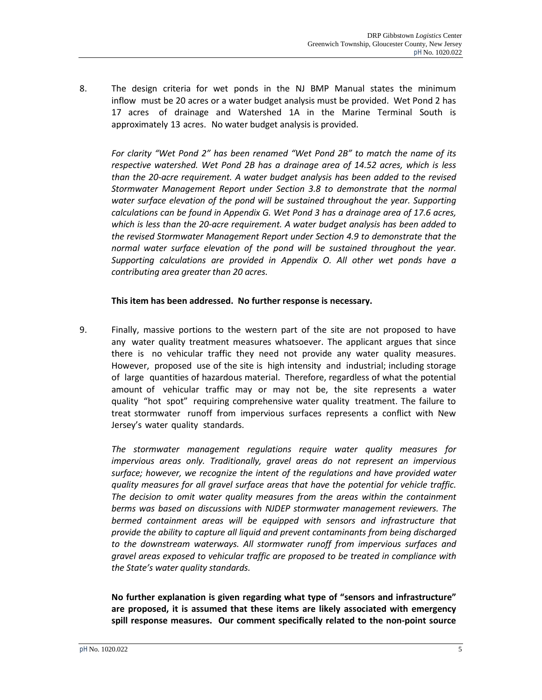8. The design criteria for wet ponds in the NJ BMP Manual states the minimum inflow must be 20 acres or a water budget analysis must be provided. Wet Pond 2 has 17 acres of drainage and Watershed 1A in the Marine Terminal South is approximately 13 acres. No water budget analysis is provided.

*For clarity "Wet Pond 2" has been renamed "Wet Pond 2B" to match the name of its respective watershed. Wet Pond 2B has a drainage area of 14.52 acres, which is less than the 20-acre requirement. A water budget analysis has been added to the revised Stormwater Management Report under Section 3.8 to demonstrate that the normal water surface elevation of the pond will be sustained throughout the year. Supporting calculations can be found in Appendix G. Wet Pond 3 has a drainage area of 17.6 acres, which is less than the 20-acre requirement. A water budget analysis has been added to the revised Stormwater Management Report under Section 4.9 to demonstrate that the normal water surface elevation of the pond will be sustained throughout the year. Supporting calculations are provided in Appendix O. All other wet ponds have a contributing area greater than 20 acres.*

### **This item has been addressed. No further response is necessary.**

9. Finally, massive portions to the western part of the site are not proposed to have any water quality treatment measures whatsoever. The applicant argues that since there is no vehicular traffic they need not provide any water quality measures. However, proposed use of the site is high intensity and industrial; including storage of large quantities of hazardous material. Therefore, regardless of what the potential amount of vehicular traffic may or may not be, the site represents a water quality "hot spot" requiring comprehensive water quality treatment. The failure to treat stormwater runoff from impervious surfaces represents a conflict with New Jersey's water quality standards.

*The stormwater management regulations require water quality measures for impervious areas only. Traditionally, gravel areas do not represent an impervious surface; however, we recognize the intent of the regulations and have provided water quality measures for all gravel surface areas that have the potential for vehicle traffic. The decision to omit water quality measures from the areas within the containment berms was based on discussions with NJDEP stormwater management reviewers. The*  bermed containment areas will be equipped with sensors and infrastructure that *provide the ability to capture all liquid and prevent contaminants from being discharged to the downstream waterways. All stormwater runoff from impervious surfaces and gravel areas exposed to vehicular traffic are proposed to be treated in compliance with the State's water quality standards.*

**No further explanation is given regarding what type of "sensors and infrastructure" are proposed, it is assumed that these items are likely associated with emergency spill response measures. Our comment specifically related to the non-point source**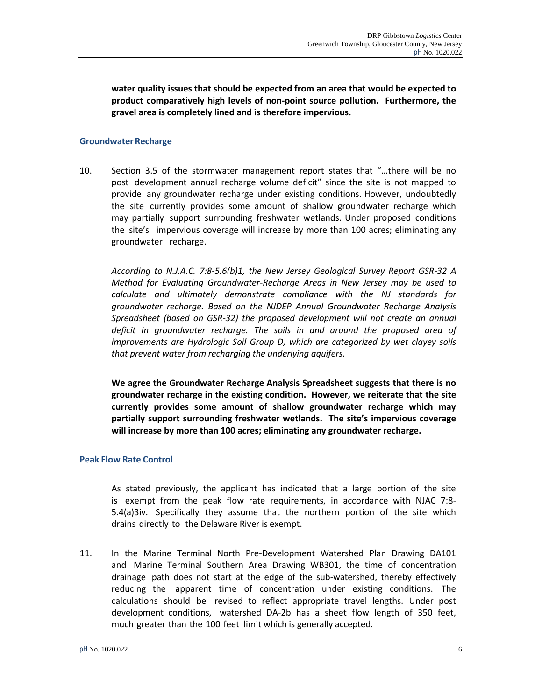**water quality issues that should be expected from an area that would be expected to product comparatively high levels of non-point source pollution. Furthermore, the gravel area is completely lined and is therefore impervious.**

### **Groundwater Recharge**

10. Section 3.5 of the stormwater management report states that "…there will be no post development annual recharge volume deficit" since the site is not mapped to provide any groundwater recharge under existing conditions. However, undoubtedly the site currently provides some amount of shallow groundwater recharge which may partially support surrounding freshwater wetlands. Under proposed conditions the site's impervious coverage will increase by more than 100 acres; eliminating any groundwater recharge.

*According to N.J.A.C. 7:8-5.6(b)1, the New Jersey Geological Survey Report GSR-32 A Method for Evaluating Groundwater-Recharge Areas in New Jersey may be used to calculate and ultimately demonstrate compliance with the NJ standards for groundwater recharge. Based on the NJDEP Annual Groundwater Recharge Analysis Spreadsheet (based on GSR-32) the proposed development will not create an annual deficit in groundwater recharge. The soils in and around the proposed area of improvements are Hydrologic Soil Group D, which are categorized by wet clayey soils that prevent water from recharging the underlying aquifers.*

**We agree the Groundwater Recharge Analysis Spreadsheet suggests that there is no groundwater recharge in the existing condition. However, we reiterate that the site currently provides some amount of shallow groundwater recharge which may partially support surrounding freshwater wetlands. The site's impervious coverage will increase by more than 100 acres; eliminating any groundwater recharge.**

### **Peak Flow Rate Control**

As stated previously, the applicant has indicated that a large portion of the site is exempt from the peak flow rate requirements, in accordance with NJAC 7:8- 5.4(a)3iv. Specifically they assume that the northern portion of the site which drains directly to the Delaware River is exempt.

11. In the Marine Terminal North Pre-Development Watershed Plan Drawing DA101 and Marine Terminal Southern Area Drawing WB301, the time of concentration drainage path does not start at the edge of the sub-watershed, thereby effectively reducing the apparent time of concentration under existing conditions. The calculations should be revised to reflect appropriate travel lengths. Under post development conditions, watershed DA-2b has a sheet flow length of 350 feet, much greater than the 100 feet limit which is generally accepted.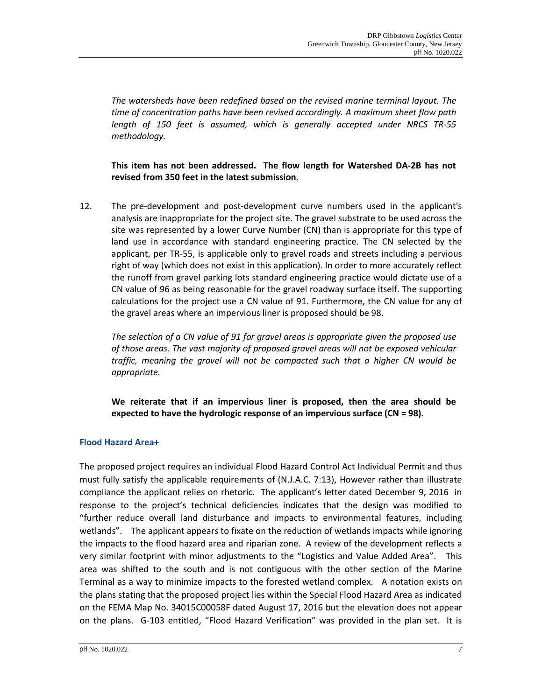*The watersheds have been redefined based on the revised marine terminal layout. The time of concentration paths have been revised accordingly. A maximum sheet flow path length of 150 feet is assumed, which is generally accepted under NRCS TR-55 methodology.*

**This item has not been addressed. The flow length for Watershed DA-2B has not revised from 350 feet in the latest submission.**

12. The pre-development and post-development curve numbers used in the applicant's analysis are inappropriate for the project site. The gravel substrate to be used across the site was represented by a lower Curve Number (CN) than is appropriate for this type of land use in accordance with standard engineering practice. The CN selected by the applicant, per TR-55, is applicable only to gravel roads and streets including a pervious right of way (which does not exist in this application). In order to more accurately reflect the runoff from gravel parking lots standard engineering practice would dictate use of a CN value of 96 as being reasonable for the gravel roadway surface itself. The supporting calculations for the project use a CN value of 91. Furthermore, the CN value for any of the gravel areas where an impervious liner is proposed should be 98.

*The selection of a CN value of 91 for gravel areas is appropriate given the proposed use of those areas. The vast majority of proposed gravel areas will not be exposed vehicular traffic, meaning the gravel will not be compacted such that a higher CN would be appropriate.*

**We reiterate that if an impervious liner is proposed, then the area should be expected to have the hydrologic response of an impervious surface (CN = 98).**

# **Flood Hazard Area+**

The proposed project requires an individual Flood Hazard Control Act Individual Permit and thus must fully satisfy the applicable requirements of (N.J.A.C. 7:13), However rather than illustrate compliance the applicant relies on rhetoric. The applicant's letter dated December 9, 2016 in response to the project's technical deficiencies indicates that the design was modified to "further reduce overall land disturbance and impacts to environmental features, including wetlands". The applicant appears to fixate on the reduction of wetlands impacts while ignoring the impacts to the flood hazard area and riparian zone. A review of the development reflects a very similar footprint with minor adjustments to the "Logistics and Value Added Area". This area was shifted to the south and is not contiguous with the other section of the Marine Terminal as a way to minimize impacts to the forested wetland complex. A notation exists on the plans stating that the proposed project lies within the Special Flood Hazard Area as indicated on the FEMA Map No. 34015C00058F dated August 17, 2016 but the elevation does not appear on the plans. G-103 entitled, "Flood Hazard Verification" was provided in the plan set. It is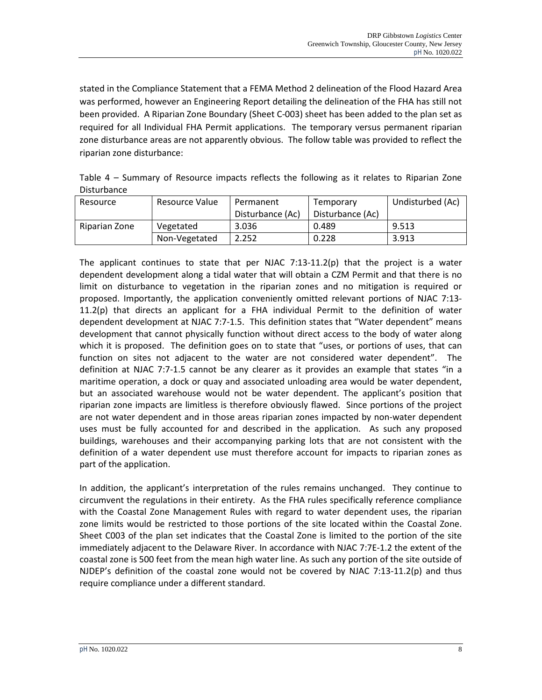stated in the Compliance Statement that a FEMA Method 2 delineation of the Flood Hazard Area was performed, however an Engineering Report detailing the delineation of the FHA has still not been provided. A Riparian Zone Boundary (Sheet C-003) sheet has been added to the plan set as required for all Individual FHA Permit applications. The temporary versus permanent riparian zone disturbance areas are not apparently obvious. The follow table was provided to reflect the riparian zone disturbance:

Table 4 – Summary of Resource impacts reflects the following as it relates to Riparian Zone **Disturbance** 

| Resource      | Resource Value | Permanent        | Temporary        | Undisturbed (Ac) |  |
|---------------|----------------|------------------|------------------|------------------|--|
|               |                | Disturbance (Ac) | Disturbance (Ac) |                  |  |
| Riparian Zone | Vegetated      | 3.036            | 0.489            | 9.513            |  |
|               | Non-Vegetated  | 2.252            | 0.228            | 3.913            |  |

The applicant continues to state that per NJAC 7:13-11.2(p) that the project is a water dependent development along a tidal water that will obtain a CZM Permit and that there is no limit on disturbance to vegetation in the riparian zones and no mitigation is required or proposed. Importantly, the application conveniently omitted relevant portions of NJAC 7:13- 11.2(p) that directs an applicant for a FHA individual Permit to the definition of water dependent development at NJAC 7:7-1.5. This definition states that "Water dependent" means development that cannot physically function without direct access to the body of water along which it is proposed. The definition goes on to state that "uses, or portions of uses, that can function on sites not adjacent to the water are not considered water dependent". The definition at NJAC 7:7-1.5 cannot be any clearer as it provides an example that states "in a maritime operation, a dock or quay and associated unloading area would be water dependent, but an associated warehouse would not be water dependent. The applicant's position that riparian zone impacts are limitless is therefore obviously flawed. Since portions of the project are not water dependent and in those areas riparian zones impacted by non-water dependent uses must be fully accounted for and described in the application. As such any proposed buildings, warehouses and their accompanying parking lots that are not consistent with the definition of a water dependent use must therefore account for impacts to riparian zones as part of the application.

In addition, the applicant's interpretation of the rules remains unchanged. They continue to circumvent the regulations in their entirety. As the FHA rules specifically reference compliance with the Coastal Zone Management Rules with regard to water dependent uses, the riparian zone limits would be restricted to those portions of the site located within the Coastal Zone. Sheet C003 of the plan set indicates that the Coastal Zone is limited to the portion of the site immediately adjacent to the Delaware River. In accordance with NJAC 7:7E-1.2 the extent of the coastal zone is 500 feet from the mean high water line. As such any portion of the site outside of NJDEP's definition of the coastal zone would not be covered by NJAC 7:13-11.2(p) and thus require compliance under a different standard.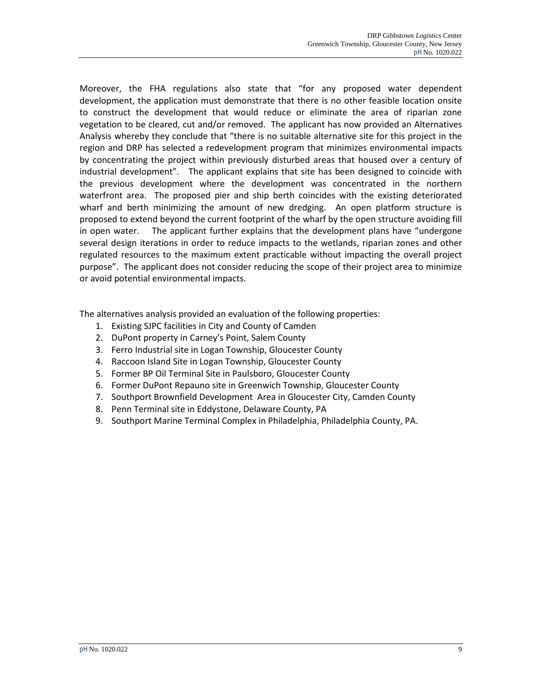Moreover, the FHA regulations also state that "for any proposed water dependent development, the application must demonstrate that there is no other feasible location onsite to construct the development that would reduce or eliminate the area of riparian zone vegetation to be cleared, cut and/or removed. The applicant has now provided an Alternatives Analysis whereby they conclude that "there is no suitable alternative site for this project in the region and DRP has selected a redevelopment program that minimizes environmental impacts by concentrating the project within previously disturbed areas that housed over a century of industrial development". The applicant explains that site has been designed to coincide with the previous development where the development was concentrated in the northern waterfront area. The proposed pier and ship berth coincides with the existing deteriorated wharf and berth minimizing the amount of new dredging. An open platform structure is proposed to extend beyond the current footprint of the wharf by the open structure avoiding fill in open water. The applicant further explains that the development plans have "undergone several design iterations in order to reduce impacts to the wetlands, riparian zones and other regulated resources to the maximum extent practicable without impacting the overall project purpose". The applicant does not consider reducing the scope of their project area to minimize or avoid potential environmental impacts.

The alternatives analysis provided an evaluation of the following properties:

- 1. Existing SJPC facilities in City and County of Camden
- 2. DuPont property in Carney's Point, Salem County
- 3. Ferro Industrial site in Logan Township, Gloucester County
- 4. Raccoon Island Site in Logan Township, Gloucester County
- 5. Former BP Oil Terminal Site in Paulsboro, Gloucester County
- 6. Former DuPont Repauno site in Greenwich Township, Gloucester County
- 7. Southport Brownfield Development Area in Gloucester City, Camden County
- 8. Penn Terminal site in Eddystone, Delaware County, PA
- 9. Southport Marine Terminal Complex in Philadelphia, Philadelphia County, PA.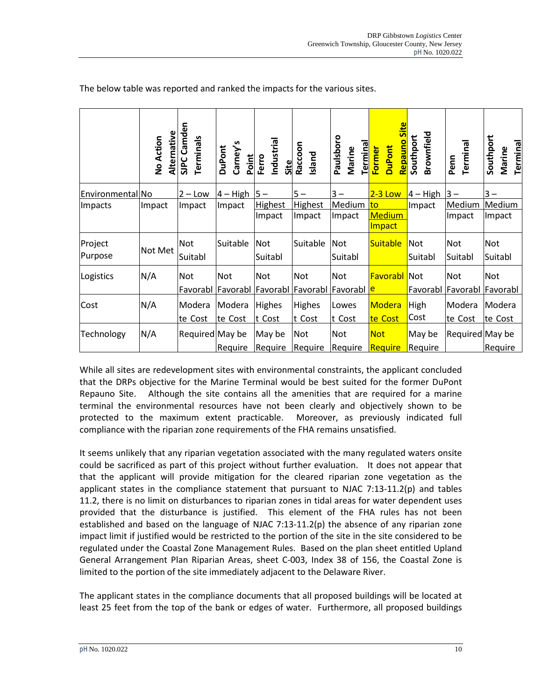|                                                                                                                                                                                                                                                                                                                                                                                                                                                                                                                                                                                                                                                                                                                                                                                                                                                                                                                                                                                                                                                                                     | Alternative<br>No Action | SJPC Camden<br>Terminals | Carney's<br>DuPont<br>Point | Industria<br>Ferro<br>Site | Raccoon<br>Island | Paulsboro<br><u>Terminal</u><br><b>Marine</b>                               | <b>Repauno Site</b><br><b>DuPont</b><br>Former | Brownfield<br>Southport | Terminal<br>Penn           | Southport<br>Terminal<br><b>Marine</b> |
|-------------------------------------------------------------------------------------------------------------------------------------------------------------------------------------------------------------------------------------------------------------------------------------------------------------------------------------------------------------------------------------------------------------------------------------------------------------------------------------------------------------------------------------------------------------------------------------------------------------------------------------------------------------------------------------------------------------------------------------------------------------------------------------------------------------------------------------------------------------------------------------------------------------------------------------------------------------------------------------------------------------------------------------------------------------------------------------|--------------------------|--------------------------|-----------------------------|----------------------------|-------------------|-----------------------------------------------------------------------------|------------------------------------------------|-------------------------|----------------------------|----------------------------------------|
| Environmental No                                                                                                                                                                                                                                                                                                                                                                                                                                                                                                                                                                                                                                                                                                                                                                                                                                                                                                                                                                                                                                                                    |                          | $2 - Low$                | $4 - High$                  | $5 -$                      | $5 -$             | $3 -$                                                                       | $2-3$ Low                                      | $4 - High$              | $3 -$                      | $3 -$                                  |
| Impacts                                                                                                                                                                                                                                                                                                                                                                                                                                                                                                                                                                                                                                                                                                                                                                                                                                                                                                                                                                                                                                                                             | Impact                   | Impact                   | Impact                      | <b>Highest</b><br>Impact   | Highest<br>Impact | Medium<br>Impact                                                            | to<br><b>Medium</b><br>Impact                  | Impact                  | Medium Medium<br>Impact    | Impact                                 |
| Project<br>Purpose                                                                                                                                                                                                                                                                                                                                                                                                                                                                                                                                                                                                                                                                                                                                                                                                                                                                                                                                                                                                                                                                  | Not Met                  | Not<br>Suitabl           | Suitable                    | Not<br>Suitabl             | Suitable          | <b>Not</b><br>Suitabl                                                       | <b>Suitable</b>                                | <b>Not</b><br>Suitabl   | <b>Not</b><br>Suitabl      | <b>Not</b><br>Suitabl                  |
| Logistics                                                                                                                                                                                                                                                                                                                                                                                                                                                                                                                                                                                                                                                                                                                                                                                                                                                                                                                                                                                                                                                                           | N/A                      | <b>Not</b>               | <b>Not</b>                  | Not                        | Not               | <b>Not</b>                                                                  | <b>Favorabl</b> Not                            |                         | <b>Not</b>                 | Not                                    |
|                                                                                                                                                                                                                                                                                                                                                                                                                                                                                                                                                                                                                                                                                                                                                                                                                                                                                                                                                                                                                                                                                     |                          |                          |                             |                            |                   | <u>Favorabl  Favorabl  Favorabl  Favorabl  Favorabl  e</u>                  |                                                |                         | Favorabl Favorabl Favorabl |                                        |
| Cost                                                                                                                                                                                                                                                                                                                                                                                                                                                                                                                                                                                                                                                                                                                                                                                                                                                                                                                                                                                                                                                                                | N/A                      | Modera                   | Modera                      | Highes                     | <b>Highes</b>     | Lowes                                                                       | Modera                                         | High                    | Modera                     | Modera                                 |
|                                                                                                                                                                                                                                                                                                                                                                                                                                                                                                                                                                                                                                                                                                                                                                                                                                                                                                                                                                                                                                                                                     |                          | te Cost                  | te Cost                     | t Cost                     | t Cost            | t Cost                                                                      | te Cost                                        | Cost                    | te Cost                    | te Cost                                |
| Technology                                                                                                                                                                                                                                                                                                                                                                                                                                                                                                                                                                                                                                                                                                                                                                                                                                                                                                                                                                                                                                                                          | N/A                      | Required May be          |                             | May be                     | Not               | Not                                                                         | <b>Not</b>                                     | May be                  | Required May be            |                                        |
| While all sites are redevelopment sites with environmental constraints, the applicant concluded<br>that the DRPs objective for the Marine Terminal would be best suited for the former DuPont<br>Repauno Site.<br>terminal the environmental resources have not been clearly and objectively shown to be<br>protected to the maximum extent practicable. Moreover, as previously indicated full<br>compliance with the riparian zone requirements of the FHA remains unsatisfied.                                                                                                                                                                                                                                                                                                                                                                                                                                                                                                                                                                                                   |                          |                          |                             |                            |                   | Although the site contains all the amenities that are required for a marine |                                                |                         |                            |                                        |
| It seems unlikely that any riparian vegetation associated with the many regulated waters onsite<br>could be sacrificed as part of this project without further evaluation. It does not appear that<br>that the applicant will provide mitigation for the cleared riparian zone vegetation as the<br>applicant states in the compliance statement that pursuant to NJAC 7:13-11.2(p) and tables<br>11.2, there is no limit on disturbances to riparian zones in tidal areas for water dependent uses<br>provided that the disturbance is justified. This element of the FHA rules has not been<br>established and based on the language of NJAC 7:13-11.2(p) the absence of any riparian zone<br>impact limit if justified would be restricted to the portion of the site in the site considered to be<br>regulated under the Coastal Zone Management Rules. Based on the plan sheet entitled Upland<br>General Arrangement Plan Riparian Areas, sheet C-003, Index 38 of 156, the Coastal Zone is<br>limited to the portion of the site immediately adjacent to the Delaware River. |                          |                          |                             |                            |                   |                                                                             |                                                |                         |                            |                                        |
| The applicant states in the compliance documents that all proposed buildings will be located at<br>least 25 feet from the top of the bank or edges of water. Furthermore, all proposed buildings                                                                                                                                                                                                                                                                                                                                                                                                                                                                                                                                                                                                                                                                                                                                                                                                                                                                                    |                          |                          |                             |                            |                   |                                                                             |                                                |                         |                            |                                        |

The below table was reported and ranked the impacts for the various sites.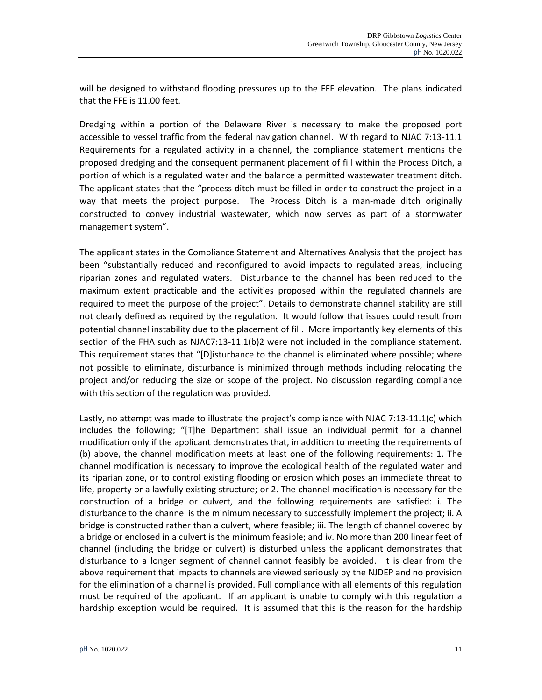will be designed to withstand flooding pressures up to the FFE elevation. The plans indicated that the FFE is 11.00 feet.

Dredging within a portion of the Delaware River is necessary to make the proposed port accessible to vessel traffic from the federal navigation channel. With regard to NJAC 7:13-11.1 Requirements for a regulated activity in a channel, the compliance statement mentions the proposed dredging and the consequent permanent placement of fill within the Process Ditch, a portion of which is a regulated water and the balance a permitted wastewater treatment ditch. The applicant states that the "process ditch must be filled in order to construct the project in a way that meets the project purpose. The Process Ditch is a man-made ditch originally constructed to convey industrial wastewater, which now serves as part of a stormwater management system".

The applicant states in the Compliance Statement and Alternatives Analysis that the project has been "substantially reduced and reconfigured to avoid impacts to regulated areas, including riparian zones and regulated waters. Disturbance to the channel has been reduced to the maximum extent practicable and the activities proposed within the regulated channels are required to meet the purpose of the project". Details to demonstrate channel stability are still not clearly defined as required by the regulation. It would follow that issues could result from potential channel instability due to the placement of fill. More importantly key elements of this section of the FHA such as NJAC7:13-11.1(b)2 were not included in the compliance statement. This requirement states that "[D]isturbance to the channel is eliminated where possible; where not possible to eliminate, disturbance is minimized through methods including relocating the project and/or reducing the size or scope of the project. No discussion regarding compliance with this section of the regulation was provided.

Lastly, no attempt was made to illustrate the project's compliance with NJAC 7:13-11.1(c) which includes the following; "[T]he Department shall issue an individual permit for a channel modification only if the applicant demonstrates that, in addition to meeting the requirements of (b) above, the channel modification meets at least one of the following requirements: 1. The channel modification is necessary to improve the ecological health of the regulated water and its riparian zone, or to control existing flooding or erosion which poses an immediate threat to life, property or a lawfully existing structure; or 2. The channel modification is necessary for the construction of a bridge or culvert, and the following requirements are satisfied: i. The disturbance to the channel is the minimum necessary to successfully implement the project; ii. A bridge is constructed rather than a culvert, where feasible; iii. The length of channel covered by a bridge or enclosed in a culvert is the minimum feasible; and iv. No more than 200 linear feet of channel (including the bridge or culvert) is disturbed unless the applicant demonstrates that disturbance to a longer segment of channel cannot feasibly be avoided. It is clear from the above requirement that impacts to channels are viewed seriously by the NJDEP and no provision for the elimination of a channel is provided. Full compliance with all elements of this regulation must be required of the applicant. If an applicant is unable to comply with this regulation a hardship exception would be required. It is assumed that this is the reason for the hardship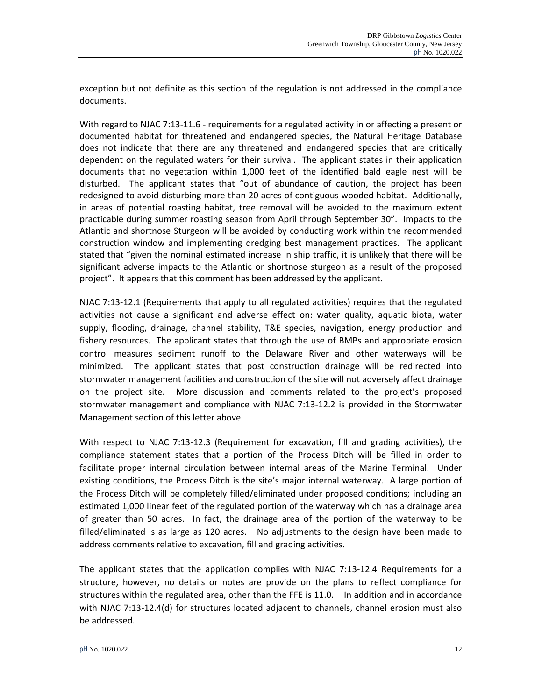exception but not definite as this section of the regulation is not addressed in the compliance documents.

With regard to NJAC 7:13-11.6 - requirements for a regulated activity in or affecting a present or documented habitat for threatened and endangered species, the Natural Heritage Database does not indicate that there are any threatened and endangered species that are critically dependent on the regulated waters for their survival. The applicant states in their application documents that no vegetation within 1,000 feet of the identified bald eagle nest will be disturbed. The applicant states that "out of abundance of caution, the project has been redesigned to avoid disturbing more than 20 acres of contiguous wooded habitat. Additionally, in areas of potential roasting habitat, tree removal will be avoided to the maximum extent practicable during summer roasting season from April through September 30". Impacts to the Atlantic and shortnose Sturgeon will be avoided by conducting work within the recommended construction window and implementing dredging best management practices. The applicant stated that "given the nominal estimated increase in ship traffic, it is unlikely that there will be significant adverse impacts to the Atlantic or shortnose sturgeon as a result of the proposed project". It appears that this comment has been addressed by the applicant.

NJAC 7:13-12.1 (Requirements that apply to all regulated activities) requires that the regulated activities not cause a significant and adverse effect on: water quality, aquatic biota, water supply, flooding, drainage, channel stability, T&E species, navigation, energy production and fishery resources. The applicant states that through the use of BMPs and appropriate erosion control measures sediment runoff to the Delaware River and other waterways will be minimized. The applicant states that post construction drainage will be redirected into stormwater management facilities and construction of the site will not adversely affect drainage on the project site. More discussion and comments related to the project's proposed stormwater management and compliance with NJAC 7:13-12.2 is provided in the Stormwater Management section of this letter above.

With respect to NJAC 7:13-12.3 (Requirement for excavation, fill and grading activities), the compliance statement states that a portion of the Process Ditch will be filled in order to facilitate proper internal circulation between internal areas of the Marine Terminal. Under existing conditions, the Process Ditch is the site's major internal waterway. A large portion of the Process Ditch will be completely filled/eliminated under proposed conditions; including an estimated 1,000 linear feet of the regulated portion of the waterway which has a drainage area of greater than 50 acres. In fact, the drainage area of the portion of the waterway to be filled/eliminated is as large as 120 acres. No adjustments to the design have been made to address comments relative to excavation, fill and grading activities.

The applicant states that the application complies with NJAC 7:13-12.4 Requirements for a structure, however, no details or notes are provide on the plans to reflect compliance for structures within the regulated area, other than the FFE is 11.0. In addition and in accordance with NJAC 7:13-12.4(d) for structures located adjacent to channels, channel erosion must also be addressed.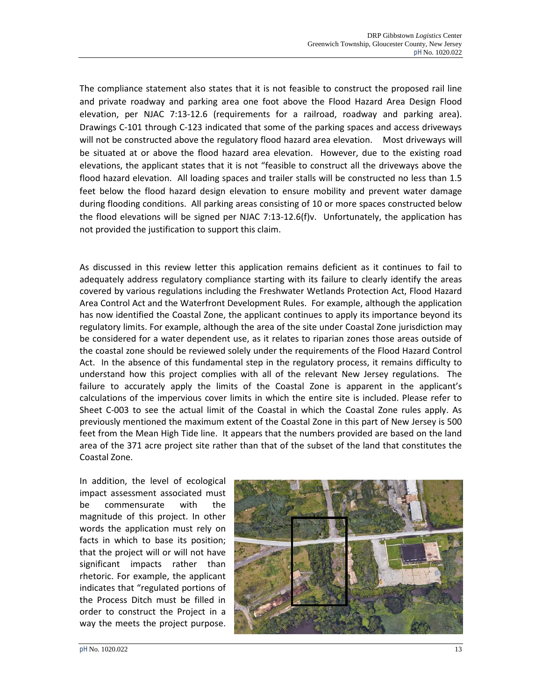The compliance statement also states that it is not feasible to construct the proposed rail line and private roadway and parking area one foot above the Flood Hazard Area Design Flood elevation, per NJAC 7:13-12.6 (requirements for a railroad, roadway and parking area). Drawings C-101 through C-123 indicated that some of the parking spaces and access driveways will not be constructed above the regulatory flood hazard area elevation. Most driveways will be situated at or above the flood hazard area elevation. However, due to the existing road elevations, the applicant states that it is not "feasible to construct all the driveways above the flood hazard elevation. All loading spaces and trailer stalls will be constructed no less than 1.5 feet below the flood hazard design elevation to ensure mobility and prevent water damage during flooding conditions. All parking areas consisting of 10 or more spaces constructed below the flood elevations will be signed per NJAC 7:13-12.6(f)v. Unfortunately, the application has not provided the justification to support this claim.

As discussed in this review letter this application remains deficient as it continues to fail to adequately address regulatory compliance starting with its failure to clearly identify the areas covered by various regulations including the Freshwater Wetlands Protection Act, Flood Hazard Area Control Act and the Waterfront Development Rules. For example, although the application has now identified the Coastal Zone, the applicant continues to apply its importance beyond its regulatory limits. For example, although the area of the site under Coastal Zone jurisdiction may be considered for a water dependent use, as it relates to riparian zones those areas outside of the coastal zone should be reviewed solely under the requirements of the Flood Hazard Control Act. In the absence of this fundamental step in the regulatory process, it remains difficulty to understand how this project complies with all of the relevant New Jersey regulations. The failure to accurately apply the limits of the Coastal Zone is apparent in the applicant's calculations of the impervious cover limits in which the entire site is included. Please refer to Sheet C-003 to see the actual limit of the Coastal in which the Coastal Zone rules apply. As previously mentioned the maximum extent of the Coastal Zone in this part of New Jersey is 500 feet from the Mean High Tide line. It appears that the numbers provided are based on the land area of the 371 acre project site rather than that of the subset of the land that constitutes the Coastal Zone.

In addition, the level of ecological impact assessment associated must be commensurate with the magnitude of this project. In other words the application must rely on facts in which to base its position; that the project will or will not have significant impacts rather than rhetoric. For example, the applicant indicates that "regulated portions of the Process Ditch must be filled in order to construct the Project in a way the meets the project purpose.